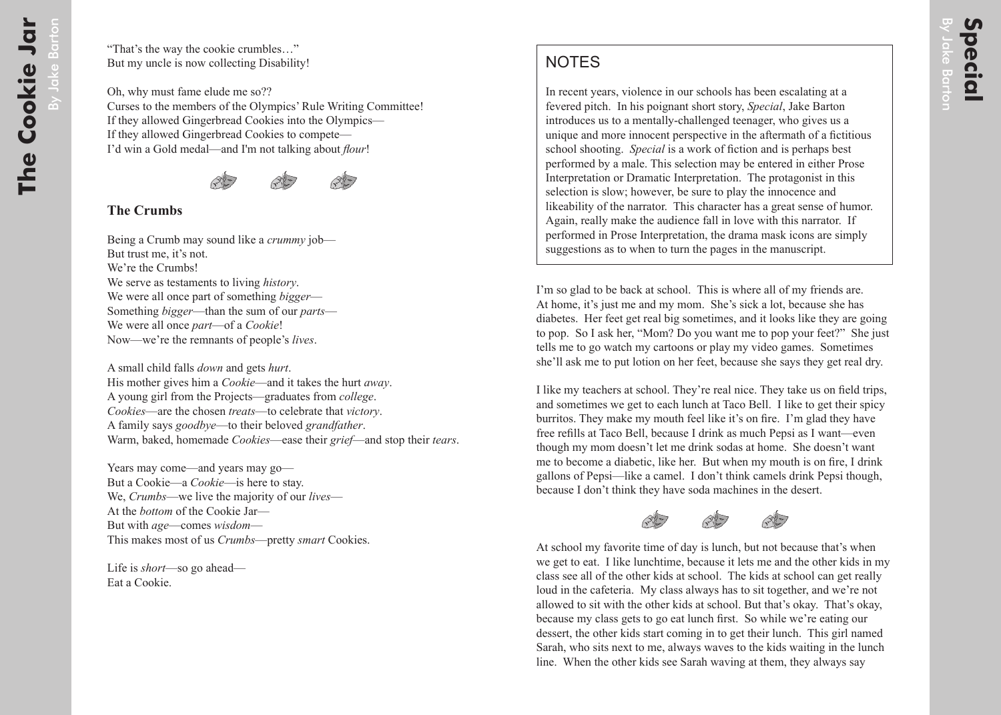## **NOTES**

In recent years, violence in our schools has been escalating at a fevered pitch. In his poignant short story, *Special*, Jake Barton introduces us to a mentally-challenged teenager, who gives us a unique and more innocent perspective in the aftermath of a fictitious school shooting. *Special* is a work of fiction and is perhaps best performed by a male. This selection may be entered in either Prose Interpretation or Dramatic Interpretation. The protagonist in this selection is slow; however, be sure to play the innocence and likeability of the narrator. This character has a great sense of humor. Again, really make the audience fall in love with this narrator. If performed in Prose Interpretation, the drama mask icons are simply suggestions as to when to turn the pages in the manuscript.

I'm so glad to be back at school. This is where all of my friends are. At home, it's just me and my mom. She's sick a lot, because she has diabetes. Her feet get real big sometimes, and it looks like they are going to pop. So I ask her, "Mom? Do you want me to pop your feet?" She just tells me to go watch my cartoons or play my video games. Sometimes she'll ask me to put lotion on her feet, because she says they get real dry.

I like my teachers at school. They're real nice. They take us on field trips, and sometimes we get to each lunch at Taco Bell. I like to get their spicy burritos. They make my mouth feel like it's on fire. I'm glad they have free refills at Taco Bell, because I drink as much Pepsi as I want—even though my mom doesn't let me drink sodas at home. She doesn't want me to become a diabetic, like her. But when my mouth is on fire, I drink gallons of Pepsi—like a camel. I don't think camels drink Pepsi though, because I don't think they have soda machines in the desert.

At school my favorite time of day is lunch, but not because that's when we get to eat. I like lunchtime, because it lets me and the other kids in my class see all of the other kids at school. The kids at school can get really loud in the cafeteria. My class always has to sit together, and we're not allowed to sit with the other kids at school. But that's okay. That's okay, because my class gets to go eat lunch first. So while we're eating our dessert, the other kids start coming in to get their lunch. This girl named Sarah, who sits next to me, always waves to the kids waiting in the lunch line. When the other kids see Sarah waving at them, they always say